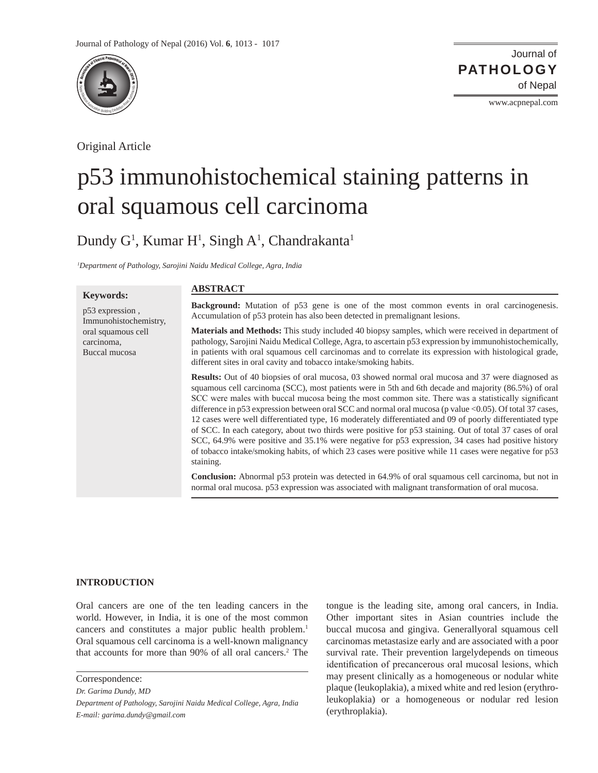

Original Article

Journal of of Nepal **PATHOLOGY**

www.acpnepal.com

# p53 immunohistochemical staining patterns in oral squamous cell carcinoma

Dundy G<sup>1</sup>, Kumar H<sup>1</sup>, Singh A<sup>1</sup>, Chandrakanta<sup>1</sup>

*1 Department of Pathology, Sarojini Naidu Medical College, Agra, India*

# **Keywords:**

p53 expression , Immunohistochemistry, oral squamous cell carcinoma, Buccal mucosa

## **ABSTRACT**

**Background:** Mutation of p53 gene is one of the most common events in oral carcinogenesis. Accumulation of p53 protein has also been detected in premalignant lesions.

**Materials and Methods:** This study included 40 biopsy samples, which were received in department of pathology, Sarojini Naidu Medical College, Agra, to ascertain p53 expression by immunohistochemically, in patients with oral squamous cell carcinomas and to correlate its expression with histological grade, different sites in oral cavity and tobacco intake/smoking habits.

**Results:** Out of 40 biopsies of oral mucosa, 03 showed normal oral mucosa and 37 were diagnosed as squamous cell carcinoma (SCC), most patients were in 5th and 6th decade and majority (86.5%) of oral SCC were males with buccal mucosa being the most common site. There was a statistically significant difference in p53 expression between oral SCC and normal oral mucosa (p value <0.05). Of total 37 cases, 12 cases were well differentiated type, 16 moderately differentiated and 09 of poorly differentiated type of SCC. In each category, about two thirds were positive for p53 staining. Out of total 37 cases of oral SCC, 64.9% were positive and 35.1% were negative for p53 expression, 34 cases had positive history of tobacco intake/smoking habits, of which 23 cases were positive while 11 cases were negative for p53 staining.

**Conclusion:** Abnormal p53 protein was detected in 64.9% of oral squamous cell carcinoma, but not in normal oral mucosa. p53 expression was associated with malignant transformation of oral mucosa.

# **INTRODUCTION**

Oral cancers are one of the ten leading cancers in the world. However, in India, it is one of the most common cancers and constitutes a major public health problem.<sup>1</sup> Oral squamous cell carcinoma is a well-known malignancy that accounts for more than 90% of all oral cancers.2 The

Correspondence:

*Dr. Garima Dundy, MD*

*Department of Pathology, Sarojini Naidu Medical College, Agra, India E-mail: garima.dundy@gmail.com*

tongue is the leading site, among oral cancers, in India. Other important sites in Asian countries include the buccal mucosa and gingiva. Generallyoral squamous cell carcinomas metastasize early and are associated with a poor survival rate. Their prevention largelydepends on timeous identification of precancerous oral mucosal lesions, which may present clinically as a homogeneous or nodular white plaque (leukoplakia), a mixed white and red lesion (erythroleukoplakia) or a homogeneous or nodular red lesion (erythroplakia).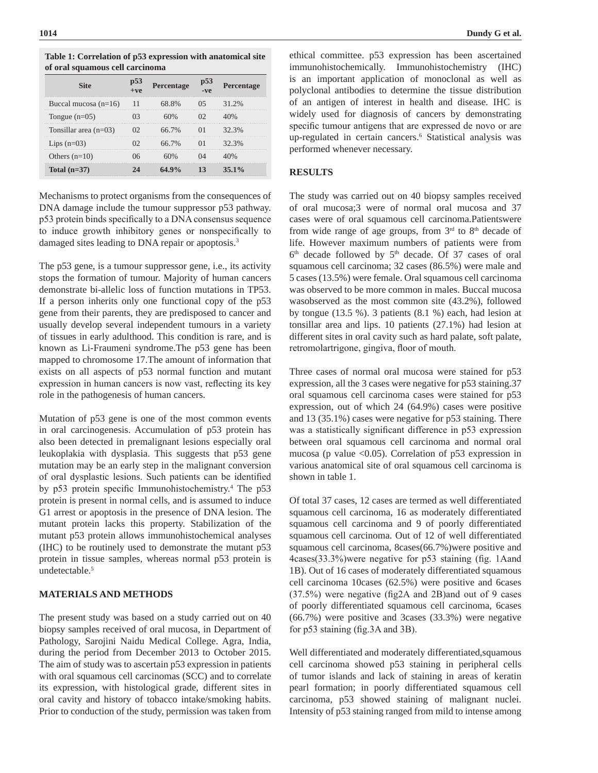| or oral squamous een caremonia |  |                   |  |                   |
|--------------------------------|--|-------------------|--|-------------------|
|                                |  | <b>Percentage</b> |  | <b>Percentage</b> |
| Buccal mucosa $(n=16)$         |  |                   |  | 31 2%             |
| Tongue $(n=05)$                |  |                   |  |                   |
| Tonsillar area $(n=03)$        |  | 66.7%             |  | $32.3\%$          |
| Lips $(n=03)$                  |  | 66.7%             |  | 32.3%             |
| Others $(n=10)$                |  |                   |  |                   |
| Total $(n=37)$                 |  |                   |  | $15.1\%$          |

**Table 1: Correlation of p53 expression with anatomical site of oral squamous cell carcinoma**

Mechanisms to protect organisms from the consequences of DNA damage include the tumour suppressor p53 pathway. p53 protein binds specifically to a DNA consensus sequence to induce growth inhibitory genes or nonspecifically to damaged sites leading to DNA repair or apoptosis.<sup>3</sup>

The p53 gene, is a tumour suppressor gene, i.e., its activity stops the formation of tumour. Majority of human cancers demonstrate bi-allelic loss of function mutations in TP53. If a person inherits only one functional copy of the p53 gene from their parents, they are predisposed to cancer and usually develop several independent tumours in a variety of tissues in early adulthood. This condition is rare, and is known as Li-Fraumeni syndrome.The p53 gene has been mapped to chromosome 17.The amount of information that exists on all aspects of p53 normal function and mutant expression in human cancers is now vast, reflecting its key role in the pathogenesis of human cancers.

Mutation of p53 gene is one of the most common events in oral carcinogenesis. Accumulation of p53 protein has also been detected in premalignant lesions especially oral leukoplakia with dysplasia. This suggests that p53 gene mutation may be an early step in the malignant conversion of oral dysplastic lesions. Such patients can be identified by p53 protein specific Immunohistochemistry.<sup>4</sup> The p53 protein is present in normal cells, and is assumed to induce G1 arrest or apoptosis in the presence of DNA lesion. The mutant protein lacks this property. Stabilization of the mutant p53 protein allows immunohistochemical analyses (IHC) to be routinely used to demonstrate the mutant p53 protein in tissue samples, whereas normal p53 protein is undetectable.<sup>5</sup>

#### **MATERIALS AND METHODS**

The present study was based on a study carried out on 40 biopsy samples received of oral mucosa, in Department of Pathology, Sarojini Naidu Medical College. Agra, India, during the period from December 2013 to October 2015. The aim of study was to ascertain p53 expression in patients with oral squamous cell carcinomas (SCC) and to correlate its expression, with histological grade, different sites in oral cavity and history of tobacco intake/smoking habits. Prior to conduction of the study, permission was taken from

ethical committee. p53 expression has been ascertained immunohistochemically. Immunohistochemistry (IHC) is an important application of monoclonal as well as polyclonal antibodies to determine the tissue distribution of an antigen of interest in health and disease. IHC is widely used for diagnosis of cancers by demonstrating specific tumour antigens that are expressed de novo or are up-regulated in certain cancers.6 Statistical analysis was performed whenever necessary.

## **RESULTS**

The study was carried out on 40 biopsy samples received of oral mucosa;3 were of normal oral mucosa and 37 cases were of oral squamous cell carcinoma.Patientswere from wide range of age groups, from  $3<sup>rd</sup>$  to  $8<sup>th</sup>$  decade of life. However maximum numbers of patients were from  $6<sup>th</sup>$  decade followed by  $5<sup>th</sup>$  decade. Of 37 cases of oral squamous cell carcinoma; 32 cases (86.5%) were male and 5 cases (13.5%) were female. Oral squamous cell carcinoma was observed to be more common in males. Buccal mucosa wasobserved as the most common site (43.2%), followed by tongue (13.5 %). 3 patients (8.1 %) each, had lesion at tonsillar area and lips. 10 patients (27.1%) had lesion at different sites in oral cavity such as hard palate, soft palate, retromolartrigone, gingiva, floor of mouth.

Three cases of normal oral mucosa were stained for p53 expression, all the 3 cases were negative for p53 staining.37 oral squamous cell carcinoma cases were stained for p53 expression, out of which 24 (64.9%) cases were positive and 13 (35.1%) cases were negative for p53 staining. There was a statistically significant difference in p53 expression between oral squamous cell carcinoma and normal oral mucosa (p value  $\leq 0.05$ ). Correlation of p53 expression in various anatomical site of oral squamous cell carcinoma is shown in table 1.

Of total 37 cases, 12 cases are termed as well differentiated squamous cell carcinoma, 16 as moderately differentiated squamous cell carcinoma and 9 of poorly differentiated squamous cell carcinoma. Out of 12 of well differentiated squamous cell carcinoma, 8cases(66.7%)were positive and 4cases(33.3%)were negative for p53 staining (fig. 1Aand 1B). Out of 16 cases of moderately differentiated squamous cell carcinoma 10cases (62.5%) were positive and 6cases (37.5%) were negative (fig2A and 2B)and out of 9 cases of poorly differentiated squamous cell carcinoma, 6cases (66.7%) were positive and 3cases (33.3%) were negative for p53 staining (fig.3A and 3B).

Well differentiated and moderately differentiated,squamous cell carcinoma showed p53 staining in peripheral cells of tumor islands and lack of staining in areas of keratin pearl formation; in poorly differentiated squamous cell carcinoma, p53 showed staining of malignant nuclei. Intensity of p53 staining ranged from mild to intense among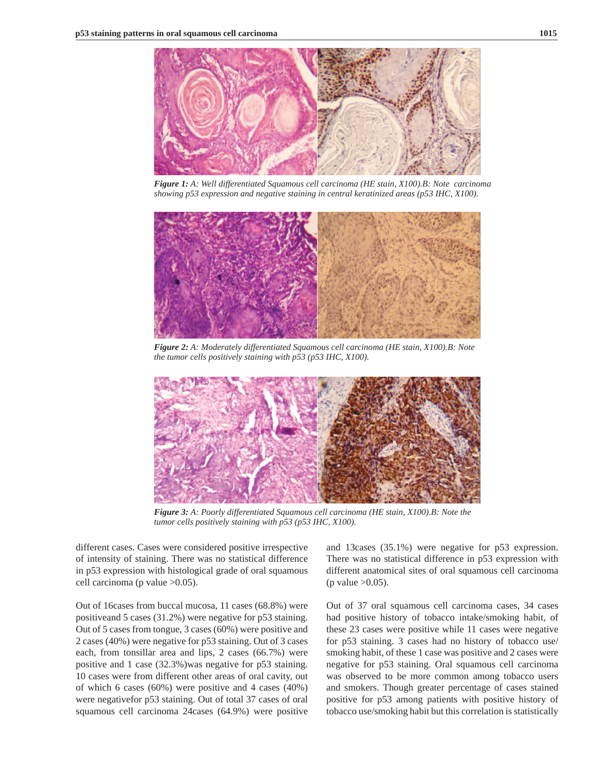

*Figure 1: A: Well differentiated Squamous cell carcinoma (HE stain, X100).B: Note carcinoma showing p53 expression and negative staining in central keratinized areas (p53 IHC, X100).* 



*Figure 2: A: Moderately differentiated Squamous cell carcinoma (HE stain, X100).B: Note the tumor cells positively staining with p53 (p53 IHC, X100).* 



*Figure 3: A: Poorly differentiated Squamous cell carcinoma (HE stain, X100).B: Note the tumor cells positively staining with p53 (p53 IHC, X100).* 

different cases. Cases were considered positive irrespective of intensity of staining. There was no statistical difference in p53 expression with histological grade of oral squamous cell carcinoma (p value >0.05).

Out of 16cases from buccal mucosa, 11 cases (68.8%) were positiveand 5 cases (31.2%) were negative for p53 staining. Out of 5 cases from tongue, 3 cases (60%) were positive and 2 cases (40%) were negative for p53 staining. Out of 3 cases each, from tonsillar area and lips, 2 cases (66.7%) were positive and 1 case (32.3%)was negative for p53 staining. 10 cases were from different other areas of oral cavity, out of which 6 cases (60%) were positive and 4 cases (40%) were negativefor p53 staining. Out of total 37 cases of oral squamous cell carcinoma 24cases (64.9%) were positive

and 13cases (35.1%) were negative for p53 expression. There was no statistical difference in p53 expression with different anatomical sites of oral squamous cell carcinoma (p value  $>0.05$ ).

Out of 37 oral squamous cell carcinoma cases, 34 cases had positive history of tobacco intake/smoking habit, of these 23 cases were positive while 11 cases were negative for p53 staining. 3 cases had no history of tobacco use/ smoking habit, of these 1 case was positive and 2 cases were negative for p53 staining. Oral squamous cell carcinoma was observed to be more common among tobacco users and smokers. Though greater percentage of cases stained positive for p53 among patients with positive history of tobacco use/smoking habit but this correlation is statistically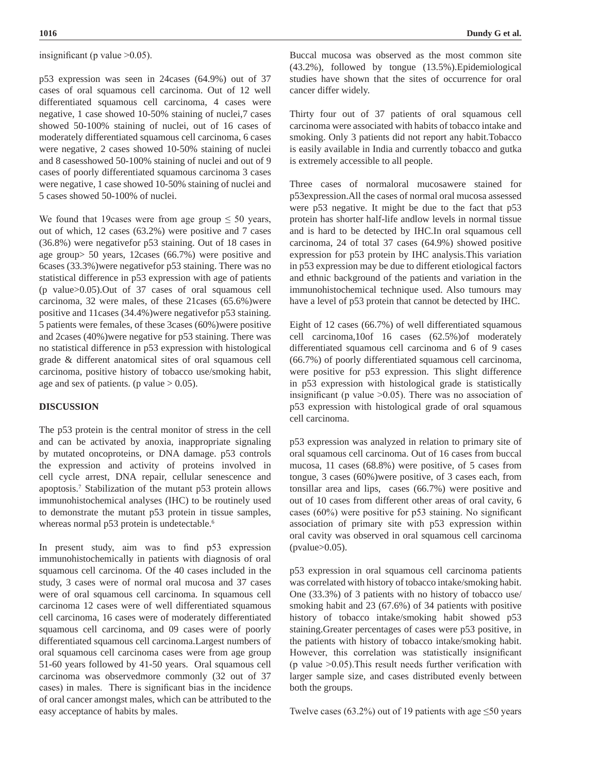insignificant (p value  $>0.05$ ).

p53 expression was seen in 24cases (64.9%) out of 37 cases of oral squamous cell carcinoma. Out of 12 well differentiated squamous cell carcinoma, 4 cases were negative, 1 case showed 10-50% staining of nuclei,7 cases showed 50-100% staining of nuclei, out of 16 cases of moderately differentiated squamous cell carcinoma, 6 cases were negative, 2 cases showed 10-50% staining of nuclei and 8 casesshowed 50-100% staining of nuclei and out of 9 cases of poorly differentiated squamous carcinoma 3 cases were negative, 1 case showed 10-50% staining of nuclei and 5 cases showed 50-100% of nuclei.

We found that 19cases were from age group  $\leq 50$  years, out of which, 12 cases (63.2%) were positive and 7 cases (36.8%) were negativefor p53 staining. Out of 18 cases in age group> 50 years, 12cases (66.7%) were positive and 6cases (33.3%)were negativefor p53 staining. There was no statistical difference in p53 expression with age of patients (p value>0.05).Out of 37 cases of oral squamous cell carcinoma, 32 were males, of these 21cases (65.6%)were positive and 11cases (34.4%)were negativefor p53 staining. 5 patients were females, of these 3cases (60%)were positive and 2cases (40%)were negative for p53 staining. There was no statistical difference in p53 expression with histological grade & different anatomical sites of oral squamous cell carcinoma, positive history of tobacco use/smoking habit, age and sex of patients. (p value  $> 0.05$ ).

### **DISCUSSION**

The p53 protein is the central monitor of stress in the cell and can be activated by anoxia, inappropriate signaling by mutated oncoproteins, or DNA damage. p53 controls the expression and activity of proteins involved in cell cycle arrest, DNA repair, cellular senescence and apoptosis.7 Stabilization of the mutant p53 protein allows immunohistochemical analyses (IHC) to be routinely used to demonstrate the mutant p53 protein in tissue samples, whereas normal p53 protein is undetectable.<sup>6</sup>

In present study, aim was to find p53 expression immunohistochemically in patients with diagnosis of oral squamous cell carcinoma. Of the 40 cases included in the study, 3 cases were of normal oral mucosa and 37 cases were of oral squamous cell carcinoma. In squamous cell carcinoma 12 cases were of well differentiated squamous cell carcinoma, 16 cases were of moderately differentiated squamous cell carcinoma, and 09 cases were of poorly differentiated squamous cell carcinoma.Largest numbers of oral squamous cell carcinoma cases were from age group 51-60 years followed by 41-50 years. Oral squamous cell carcinoma was observedmore commonly (32 out of 37 cases) in males. There is significant bias in the incidence of oral cancer amongst males, which can be attributed to the easy acceptance of habits by males.

Buccal mucosa was observed as the most common site (43.2%), followed by tongue (13.5%).Epidemiological studies have shown that the sites of occurrence for oral cancer differ widely.

Thirty four out of 37 patients of oral squamous cell carcinoma were associated with habits of tobacco intake and smoking. Only 3 patients did not report any habit.Tobacco is easily available in India and currently tobacco and gutka is extremely accessible to all people.

Three cases of normaloral mucosawere stained for p53expression.All the cases of normal oral mucosa assessed were p53 negative. It might be due to the fact that p53 protein has shorter half-life andlow levels in normal tissue and is hard to be detected by IHC.In oral squamous cell carcinoma, 24 of total 37 cases (64.9%) showed positive expression for p53 protein by IHC analysis.This variation in p53 expression may be due to different etiological factors and ethnic background of the patients and variation in the immunohistochemical technique used. Also tumours may have a level of p53 protein that cannot be detected by IHC.

Eight of 12 cases (66.7%) of well differentiated squamous cell carcinoma,10of 16 cases (62.5%)of moderately differentiated squamous cell carcinoma and 6 of 9 cases (66.7%) of poorly differentiated squamous cell carcinoma, were positive for p53 expression. This slight difference in p53 expression with histological grade is statistically insignificant (p value  $>0.05$ ). There was no association of p53 expression with histological grade of oral squamous cell carcinoma.

p53 expression was analyzed in relation to primary site of oral squamous cell carcinoma. Out of 16 cases from buccal mucosa, 11 cases (68.8%) were positive, of 5 cases from tongue, 3 cases (60%)were positive, of 3 cases each, from tonsillar area and lips, cases (66.7%) were positive and out of 10 cases from different other areas of oral cavity, 6 cases (60%) were positive for p53 staining. No significant association of primary site with p53 expression within oral cavity was observed in oral squamous cell carcinoma (pvalue>0.05).

p53 expression in oral squamous cell carcinoma patients was correlated with history of tobacco intake/smoking habit. One (33.3%) of 3 patients with no history of tobacco use/ smoking habit and 23 (67.6%) of 34 patients with positive history of tobacco intake/smoking habit showed p53 staining.Greater percentages of cases were p53 positive, in the patients with history of tobacco intake/smoking habit. However, this correlation was statistically insignificant (p value  $>0.05$ ). This result needs further verification with larger sample size, and cases distributed evenly between both the groups.

Twelve cases (63.2%) out of 19 patients with age  $\leq 50$  years